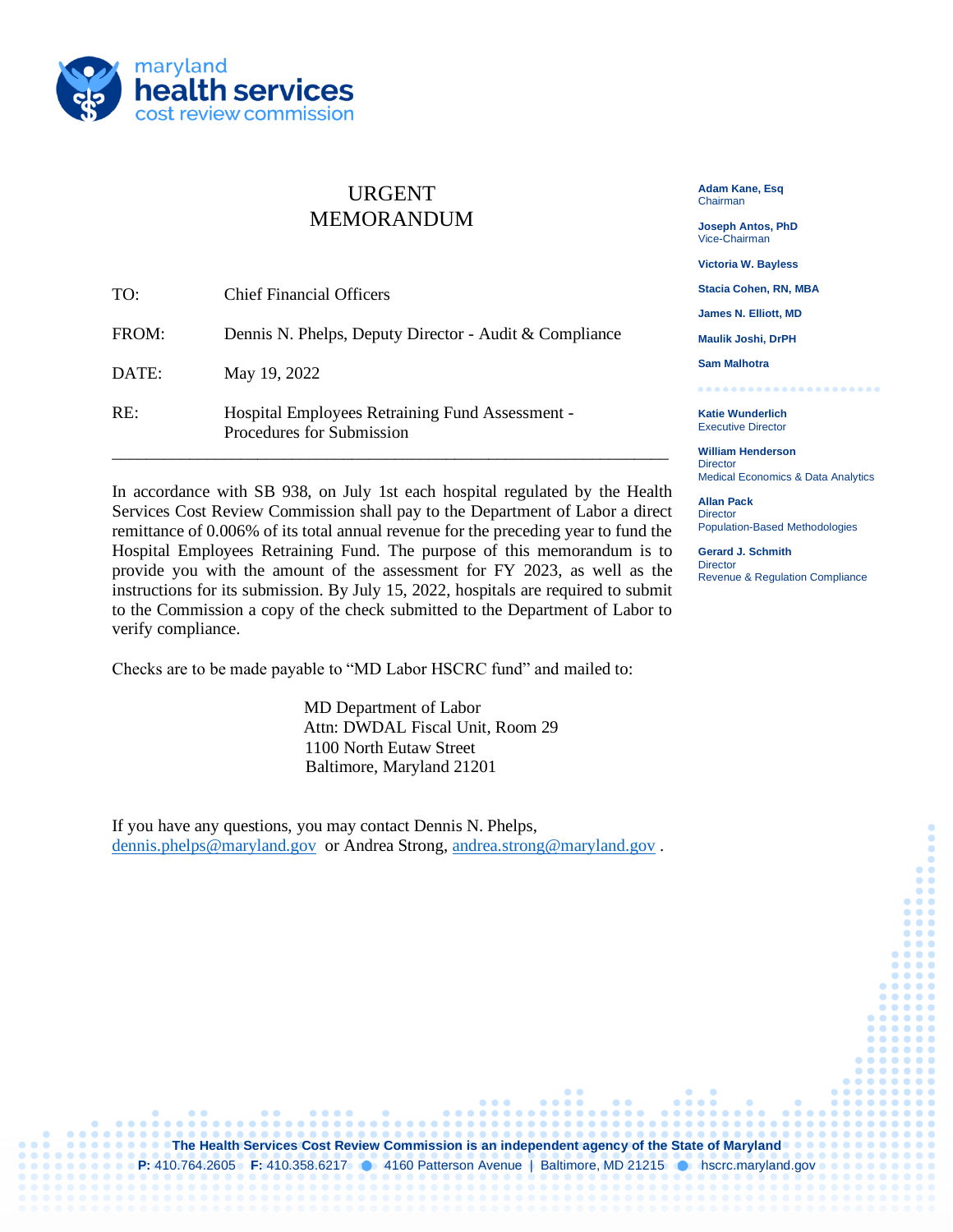

## URGENT MEMORANDUM

| TO:   | <b>Chief Financial Officers</b>                                              |
|-------|------------------------------------------------------------------------------|
| FROM: | Dennis N. Phelps, Deputy Director - Audit & Compliance                       |
| DATE: | May 19, 2022                                                                 |
| RE:   | Hospital Employees Retraining Fund Assessment -<br>Procedures for Submission |

In accordance with SB 938, on July 1st each hospital regulated by the Health Services Cost Review Commission shall pay to the Department of Labor a direct remittance of 0.006% of its total annual revenue for the preceding year to fund the Hospital Employees Retraining Fund. The purpose of this memorandum is to provide you with the amount of the assessment for FY 2023, as well as the instructions for its submission. By July 15, 2022, hospitals are required to submit to the Commission a copy of the check submitted to the Department of Labor to verify compliance.

Checks are to be made payable to "MD Labor HSCRC fund" and mailed to:

MD Department of Labor Attn: DWDAL Fiscal Unit, Room 29 1100 North Eutaw Street Baltimore, Maryland 21201

If you have any questions, you may contact Dennis N. Phelps, [dennis.phelps@maryland.gov](mailto:dennis.phelps@maryland.gov) or Andrea Strong, [andrea.strong@maryland.gov](mailto:andrea.strong@maryland.gov).

**The Health Services Cost Review Commission is an independent agency of the State of Maryland P:** 410.764.2605 **F:** 410.358.6217 **1** 4160 Patterson Avenue | Baltimore, MD 21215 **1** hscrc.maryland.gov

**Adam Kane, Esq** Chairman

**Joseph Antos, PhD** Vice-Chairman

**Victoria W. Bayless**

**Stacia Cohen, RN, MBA**

**James N. Elliott, MD**

**Maulik Joshi, DrPH**

**Sam Malhotra**

.................. **Katie Wunderlich** Executive Director

**William Henderson Director** Medical Economics & Data Analytics

**Allan Pack Director** Population-Based Methodologies

**Gerard J. Schmith Director** Revenue & Regulation Compliance